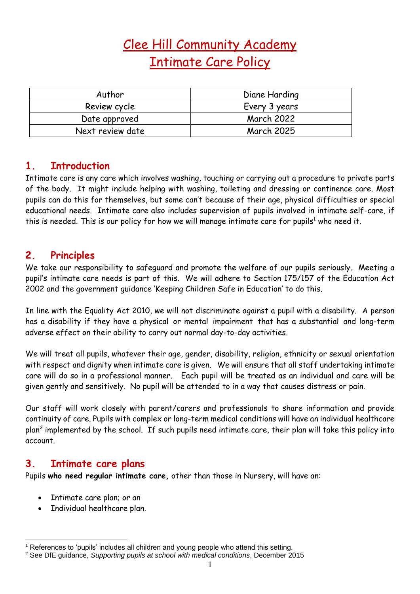# Clee Hill Community Academy Intimate Care Policy

| Author           | Diane Harding     |
|------------------|-------------------|
| Review cycle     | Every 3 years     |
| Date approved    | <b>March 2022</b> |
| Next review date | <b>March 2025</b> |

#### **1. Introduction**

Intimate care is any care which involves washing, touching or carrying out a procedure to private parts of the body. It might include helping with washing, toileting and dressing or continence care. Most pupils can do this for themselves, but some can't because of their age, physical difficulties or special educational needs. Intimate care also includes supervision of pupils involved in intimate self-care, if this is needed. This is our policy for how we will manage intimate care for pupils<sup>1</sup> who need it.

#### **2. Principles**

We take our responsibility to safeguard and promote the welfare of our pupils seriously. Meeting a pupil's intimate care needs is part of this. We will adhere to Section 175/157 of the Education Act 2002 and the government guidance 'Keeping Children Safe in Education' to do this.

In line with the Equality Act 2010, we will not discriminate against a pupil with a disability. A person has a disability if they have a physical or mental impairment that has a substantial and long-term adverse effect on their ability to carry out normal day-to-day activities.

We will treat all pupils, whatever their age, gender, disability, religion, ethnicity or sexual orientation with respect and dignity when intimate care is given. We will ensure that all staff undertaking intimate care will do so in a professional manner. Each pupil will be treated as an individual and care will be given gently and sensitively. No pupil will be attended to in a way that causes distress or pain.

Our staff will work closely with parent/carers and professionals to share information and provide continuity of care. Pupils with complex or long-term medical conditions will have an individual healthcare plan<sup>2</sup> implemented by the school. If such pupils need intimate care, their plan will take this policy into account.

#### **3. Intimate care plans**

Pupils **who need regular intimate care,** other than those in Nursery, will have an:

- Intimate care plan; or an
- Individual healthcare plan.

<sup>&</sup>lt;sup>1</sup> References to 'pupils' includes all children and young people who attend this setting.

<sup>2</sup> See DfE guidance, *Supporting pupils at school with medical conditions*, December 2015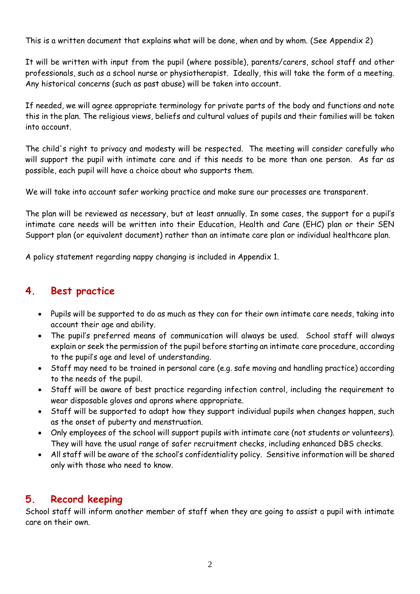This is a written document that explains what will be done, when and by whom. (See Appendix 2)

It will be written with input from the pupil (where possible), parents/carers, school staff and other professionals, such as a school nurse or physiotherapist. Ideally, this will take the form of a meeting. Any historical concerns (such as past abuse) will be taken into account.

If needed, we will agree appropriate terminology for private parts of the body and functions and note this in the plan. The religious views, beliefs and cultural values of pupils and their families will be taken into account.

The child's right to privacy and modesty will be respected. The meeting will consider carefully who will support the pupil with intimate care and if this needs to be more than one person. As far as possible, each pupil will have a choice about who supports them.

We will take into account safer working practice and make sure our processes are transparent.

The plan will be reviewed as necessary, but at least annually. In some cases, the support for a pupil's intimate care needs will be written into their Education, Health and Care (EHC) plan or their SEN Support plan (or equivalent document) rather than an intimate care plan or individual healthcare plan.

A policy statement regarding nappy changing is included in Appendix 1.

# **4. Best practice**

- Pupils will be supported to do as much as they can for their own intimate care needs, taking into account their age and ability.
- The pupil's preferred means of communication will always be used. School staff will always explain or seek the permission of the pupil before starting an intimate care procedure, according to the pupil's age and level of understanding.
- Staff may need to be trained in personal care (e.g. safe moving and handling practice) according to the needs of the pupil.
- Staff will be aware of best practice regarding infection control, including the requirement to wear disposable gloves and aprons where appropriate.
- Staff will be supported to adapt how they support individual pupils when changes happen, such as the onset of puberty and menstruation.
- Only employees of the school will support pupils with intimate care (not students or volunteers). They will have the usual range of safer recruitment checks, including enhanced DBS checks.
- All staff will be aware of the school's confidentiality policy. Sensitive information will be shared only with those who need to know.

# **5. Record keeping**

School staff will inform another member of staff when they are going to assist a pupil with intimate care on their own.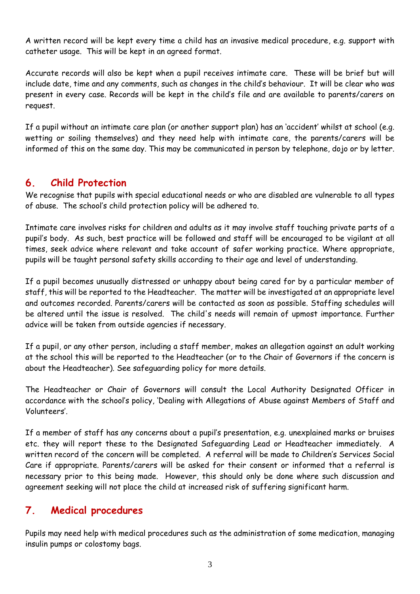A written record will be kept every time a child has an invasive medical procedure, e.g. support with catheter usage. This will be kept in an agreed format.

Accurate records will also be kept when a pupil receives intimate care. These will be brief but will include date, time and any comments, such as changes in the child's behaviour. It will be clear who was present in every case. Records will be kept in the child's file and are available to parents/carers on request.

If a pupil without an intimate care plan (or another support plan) has an 'accident' whilst at school (e.g. wetting or soiling themselves) and they need help with intimate care, the parents/carers will be informed of this on the same day. This may be communicated in person by telephone, dojo or by letter.

# **6. Child Protection**

We recognise that pupils with special educational needs or who are disabled are vulnerable to all types of abuse. The school's child protection policy will be adhered to.

Intimate care involves risks for children and adults as it may involve staff touching private parts of a pupil's body. As such, best practice will be followed and staff will be encouraged to be vigilant at all times, seek advice where relevant and take account of safer working practice. Where appropriate, pupils will be taught personal safety skills according to their age and level of understanding.

If a pupil becomes unusually distressed or unhappy about being cared for by a particular member of staff, this will be reported to the Headteacher. The matter will be investigated at an appropriate level and outcomes recorded. Parents/carers will be contacted as soon as possible. Staffing schedules will be altered until the issue is resolved. The child's needs will remain of upmost importance. Further advice will be taken from outside agencies if necessary.

If a pupil, or any other person, including a staff member, makes an allegation against an adult working at the school this will be reported to the Headteacher (or to the Chair of Governors if the concern is about the Headteacher). See safeguarding policy for more details.

The Headteacher or Chair of Governors will consult the Local Authority Designated Officer in accordance with the school's policy, 'Dealing with Allegations of Abuse against Members of Staff and Volunteers'.

If a member of staff has any concerns about a pupil's presentation, e.g. unexplained marks or bruises etc. they will report these to the Designated Safeguarding Lead or Headteacher immediately. A written record of the concern will be completed. A referral will be made to Children's Services Social Care if appropriate. Parents/carers will be asked for their consent or informed that a referral is necessary prior to this being made. However, this should only be done where such discussion and agreement seeking will not place the child at increased risk of suffering significant harm.

# **7. Medical procedures**

Pupils may need help with medical procedures such as the administration of some medication, managing insulin pumps or colostomy bags.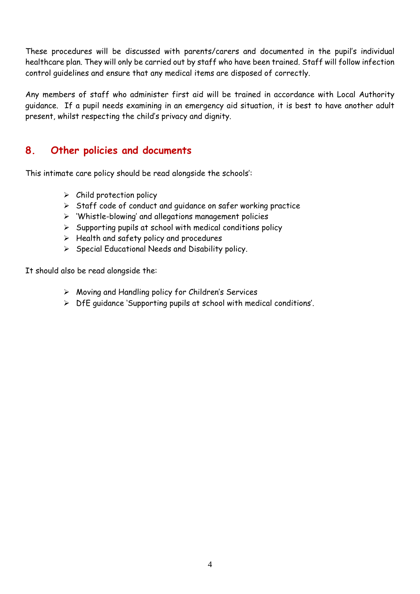These procedures will be discussed with parents/carers and documented in the pupil's individual healthcare plan. They will only be carried out by staff who have been trained. Staff will follow infection control guidelines and ensure that any medical items are disposed of correctly.

Any members of staff who administer first aid will be trained in accordance with Local Authority guidance. If a pupil needs examining in an emergency aid situation, it is best to have another adult present, whilst respecting the child's privacy and dignity.

#### **8. Other policies and documents**

This intimate care policy should be read alongside the schools':

- $\triangleright$  Child protection policy
- ➢ Staff code of conduct and guidance on safer working practice
- ➢ 'Whistle-blowing' and allegations management policies
- $\triangleright$  Supporting pupils at school with medical conditions policy
- $\triangleright$  Health and safety policy and procedures
- ➢ Special Educational Needs and Disability policy.

It should also be read alongside the:

- ➢ Moving and Handling policy for Children's Services
- ➢ DfE guidance 'Supporting pupils at school with medical conditions'.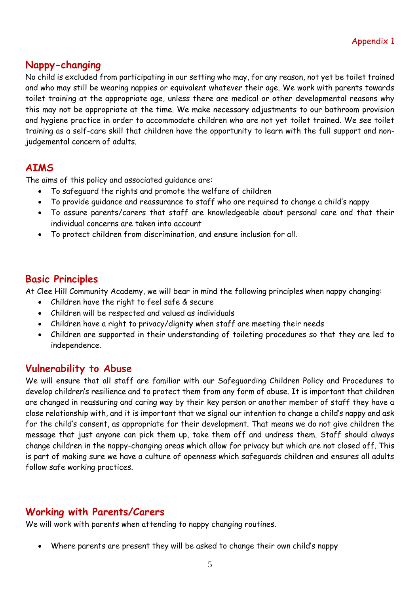#### **Nappy-changing**

No child is excluded from participating in our setting who may, for any reason, not yet be toilet trained and who may still be wearing nappies or equivalent whatever their age. We work with parents towards toilet training at the appropriate age, unless there are medical or other developmental reasons why this may not be appropriate at the time. We make necessary adjustments to our bathroom provision and hygiene practice in order to accommodate children who are not yet toilet trained. We see toilet training as a self-care skill that children have the opportunity to learn with the full support and nonjudgemental concern of adults.

#### **AIMS**

The aims of this policy and associated guidance are:

- To safeguard the rights and promote the welfare of children
- To provide guidance and reassurance to staff who are required to change a child's nappy
- To assure parents/carers that staff are knowledgeable about personal care and that their individual concerns are taken into account
- To protect children from discrimination, and ensure inclusion for all.

# **Basic Principles**

At Clee Hill Community Academy, we will bear in mind the following principles when nappy changing:

- Children have the right to feel safe & secure
- Children will be respected and valued as individuals
- Children have a right to privacy/dignity when staff are meeting their needs
- Children are supported in their understanding of toileting procedures so that they are led to independence.

# **Vulnerability to Abuse**

We will ensure that all staff are familiar with our Safeguarding Children Policy and Procedures to develop children's resilience and to protect them from any form of abuse. It is important that children are changed in reassuring and caring way by their key person or another member of staff they have a close relationship with, and it is important that we signal our intention to change a child's nappy and ask for the child's consent, as appropriate for their development. That means we do not give children the message that just anyone can pick them up, take them off and undress them. Staff should always change children in the nappy-changing areas which allow for privacy but which are not closed off. This is part of making sure we have a culture of openness which safeguards children and ensures all adults follow safe working practices.

# **Working with Parents/Carers**

We will work with parents when attending to nappy changing routines.

• Where parents are present they will be asked to change their own child's nappy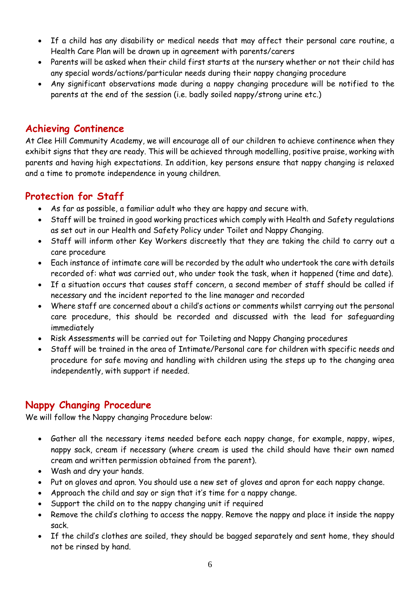- If a child has any disability or medical needs that may affect their personal care routine, a Health Care Plan will be drawn up in agreement with parents/carers
- Parents will be asked when their child first starts at the nursery whether or not their child has any special words/actions/particular needs during their nappy changing procedure
- Any significant observations made during a nappy changing procedure will be notified to the parents at the end of the session (i.e. badly soiled nappy/strong urine etc.)

# **Achieving Continence**

At Clee Hill Community Academy, we will encourage all of our children to achieve continence when they exhibit signs that they are ready. This will be achieved through modelling, positive praise, working with parents and having high expectations. In addition, key persons ensure that nappy changing is relaxed and a time to promote independence in young children.

# **Protection for Staff**

- As far as possible, a familiar adult who they are happy and secure with.
- Staff will be trained in good working practices which comply with Health and Safety regulations as set out in our Health and Safety Policy under Toilet and Nappy Changing.
- Staff will inform other Key Workers discreetly that they are taking the child to carry out a care procedure
- Each instance of intimate care will be recorded by the adult who undertook the care with details recorded of: what was carried out, who under took the task, when it happened (time and date).
- If a situation occurs that causes staff concern, a second member of staff should be called if necessary and the incident reported to the line manager and recorded
- Where staff are concerned about a child's actions or comments whilst carrying out the personal care procedure, this should be recorded and discussed with the lead for safeguarding immediately
- Risk Assessments will be carried out for Toileting and Nappy Changing procedures
- Staff will be trained in the area of Intimate/Personal care for children with specific needs and procedure for safe moving and handling with children using the steps up to the changing area independently, with support if needed.

# **Nappy Changing Procedure**

We will follow the Nappy changing Procedure below:

- Gather all the necessary items needed before each nappy change, for example, nappy, wipes, nappy sack, cream if necessary (where cream is used the child should have their own named cream and written permission obtained from the parent).
- Wash and dry your hands.
- Put on gloves and apron. You should use a new set of gloves and apron for each nappy change.
- Approach the child and say or sign that it's time for a nappy change.
- Support the child on to the nappy changing unit if required
- Remove the child's clothing to access the nappy. Remove the nappy and place it inside the nappy sack.
- If the child's clothes are soiled, they should be bagged separately and sent home, they should not be rinsed by hand.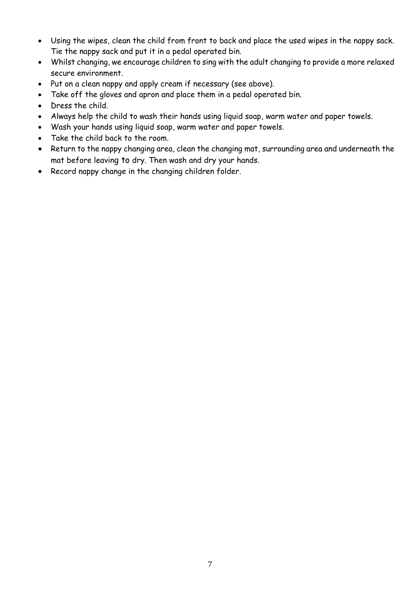- Using the wipes, clean the child from front to back and place the used wipes in the nappy sack. Tie the nappy sack and put it in a pedal operated bin.
- Whilst changing, we encourage children to sing with the adult changing to provide a more relaxed secure environment.
- Put on a clean nappy and apply cream if necessary (see above).
- Take off the gloves and apron and place them in a pedal operated bin.
- Dress the child.
- Always help the child to wash their hands using liquid soap, warm water and paper towels.
- Wash your hands using liquid soap, warm water and paper towels.
- Take the child back to the room.
- Return to the nappy changing area, clean the changing mat, surrounding area and underneath the mat before leaving to dry. Then wash and dry your hands.
- Record nappy change in the changing children folder.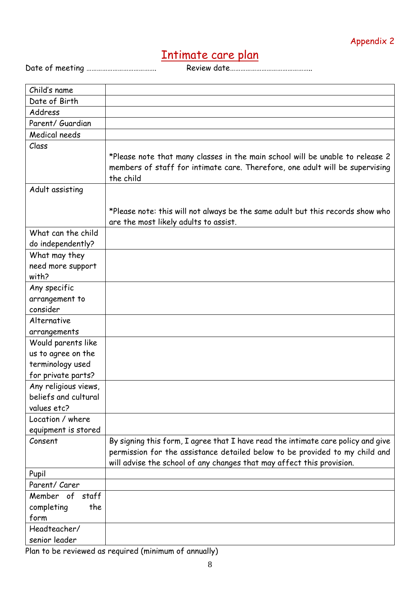# Intimate care plan

Date of meeting …………………………………. Review date………………………………………..

| Child's name         |                                                                                                                                                               |
|----------------------|---------------------------------------------------------------------------------------------------------------------------------------------------------------|
| Date of Birth        |                                                                                                                                                               |
| Address              |                                                                                                                                                               |
| Parent/ Guardian     |                                                                                                                                                               |
| Medical needs        |                                                                                                                                                               |
| Class                |                                                                                                                                                               |
|                      | *Please note that many classes in the main school will be unable to release 2<br>members of staff for intimate care. Therefore, one adult will be supervising |
|                      | the child                                                                                                                                                     |
| Adult assisting      |                                                                                                                                                               |
|                      | *Please note: this will not always be the same adult but this records show who<br>are the most likely adults to assist.                                       |
| What can the child   |                                                                                                                                                               |
| do independently?    |                                                                                                                                                               |
| What may they        |                                                                                                                                                               |
| need more support    |                                                                                                                                                               |
| with?                |                                                                                                                                                               |
| Any specific         |                                                                                                                                                               |
| arrangement to       |                                                                                                                                                               |
| consider             |                                                                                                                                                               |
| Alternative          |                                                                                                                                                               |
| arrangements         |                                                                                                                                                               |
| Would parents like   |                                                                                                                                                               |
| us to agree on the   |                                                                                                                                                               |
| terminology used     |                                                                                                                                                               |
| for private parts?   |                                                                                                                                                               |
| Any religious views, |                                                                                                                                                               |
| beliefs and cultural |                                                                                                                                                               |
| values etc?          |                                                                                                                                                               |
| Location / where     |                                                                                                                                                               |
| equipment is stored  |                                                                                                                                                               |
| Consent              | By signing this form, I agree that I have read the intimate care policy and give                                                                              |
|                      | permission for the assistance detailed below to be provided to my child and                                                                                   |
|                      | will advise the school of any changes that may affect this provision.                                                                                         |
| Pupil                |                                                                                                                                                               |
| Parent/ Carer        |                                                                                                                                                               |
| Member of<br>staff   |                                                                                                                                                               |
| completing<br>the    |                                                                                                                                                               |
| form                 |                                                                                                                                                               |
| Headteacher/         |                                                                                                                                                               |
| senior leader        |                                                                                                                                                               |

Plan to be reviewed as required (minimum of annually)